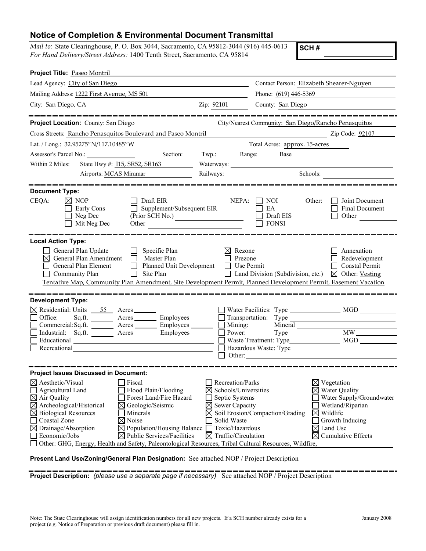## **Notice of Completion & Environmental Document Transmittal**

| Mail to: State Clearinghouse, P. O. Box 3044, Sacramento, CA 95812-3044 (916) 445-0613<br>For Hand Delivery/Street Address: 1400 Tenth Street, Sacramento, CA 95814                                                                                                                                                                                                                                                                                                                                                                                    |                                                                                                                                                                                                              | SCH#                                                                                                                                                                                                     |
|--------------------------------------------------------------------------------------------------------------------------------------------------------------------------------------------------------------------------------------------------------------------------------------------------------------------------------------------------------------------------------------------------------------------------------------------------------------------------------------------------------------------------------------------------------|--------------------------------------------------------------------------------------------------------------------------------------------------------------------------------------------------------------|----------------------------------------------------------------------------------------------------------------------------------------------------------------------------------------------------------|
| Project Title: Paseo Montril                                                                                                                                                                                                                                                                                                                                                                                                                                                                                                                           |                                                                                                                                                                                                              |                                                                                                                                                                                                          |
| Lead Agency: City of San Diego                                                                                                                                                                                                                                                                                                                                                                                                                                                                                                                         |                                                                                                                                                                                                              | Contact Person: Elizabeth Shearer-Nguyen                                                                                                                                                                 |
| Mailing Address: 1222 First Avenue, MS 501                                                                                                                                                                                                                                                                                                                                                                                                                                                                                                             | Phone: (619) 446-5369                                                                                                                                                                                        |                                                                                                                                                                                                          |
| City: San Diego, CA<br><u> 1989 - Johann Barbara, martxa alemaniar populari (</u>                                                                                                                                                                                                                                                                                                                                                                                                                                                                      | Zip: 92101<br>County: San Diego                                                                                                                                                                              |                                                                                                                                                                                                          |
| Project Location: County: San Diego                                                                                                                                                                                                                                                                                                                                                                                                                                                                                                                    |                                                                                                                                                                                                              |                                                                                                                                                                                                          |
|                                                                                                                                                                                                                                                                                                                                                                                                                                                                                                                                                        |                                                                                                                                                                                                              | City/Nearest Community: San Diego/Rancho Penasquitos                                                                                                                                                     |
| Cross Streets: Rancho Penasquitos Boulevard and Paseo Montril                                                                                                                                                                                                                                                                                                                                                                                                                                                                                          |                                                                                                                                                                                                              | Zip Code: 92107                                                                                                                                                                                          |
| Lat. / Long.: 32.95275"N/117.10485"W                                                                                                                                                                                                                                                                                                                                                                                                                                                                                                                   | Total Acres: approx. 15-acres                                                                                                                                                                                |                                                                                                                                                                                                          |
| Assessor's Parcel No.:                                                                                                                                                                                                                                                                                                                                                                                                                                                                                                                                 | Base                                                                                                                                                                                                         |                                                                                                                                                                                                          |
| Within 2 Miles:<br>State Hwy #: 115, SR52, SR163                                                                                                                                                                                                                                                                                                                                                                                                                                                                                                       |                                                                                                                                                                                                              |                                                                                                                                                                                                          |
| Airports: MCAS Miramar                                                                                                                                                                                                                                                                                                                                                                                                                                                                                                                                 | Railways:                                                                                                                                                                                                    | Schools:                                                                                                                                                                                                 |
| <b>Document Type:</b>                                                                                                                                                                                                                                                                                                                                                                                                                                                                                                                                  |                                                                                                                                                                                                              |                                                                                                                                                                                                          |
| Draft EIR<br>CEQA:<br>$\boxtimes$ NOP<br>Supplement/Subsequent EIR<br>Early Cons<br>Neg Dec<br>(Prior SCH No.)<br>Mit Neg Dec<br>Other <u>January Maria and Barbara and the series</u>                                                                                                                                                                                                                                                                                                                                                                 | NEPA:<br>NOI<br>EA<br>Draft EIS<br><b>FONSI</b>                                                                                                                                                              | Joint Document<br>Other:<br>Final Document<br>Other                                                                                                                                                      |
| <b>Local Action Type:</b><br>General Plan Update<br>Specific Plan<br>General Plan Amendment<br>$\Box$<br>Master Plan<br>⋈<br>General Plan Element<br>Site Plan<br>Community Plan<br>Tentative Map, Community Plan Amendment, Site Development Permit, Planned Development Permit, Easement Vacation                                                                                                                                                                                                                                                    | $\boxtimes$ Rezone<br>Prezone<br>Planned Unit Development □ Use Permit<br>Land Division (Subdivision, etc.)                                                                                                  | Annexation<br>Redevelopment<br>$\Box$ Coastal Permit<br>$\boxtimes$ Other: Vesting                                                                                                                       |
| <b>Development Type:</b><br>$\boxtimes$ Residential: Units $\frac{55}{25}$ Acres<br>Office:<br>Acres Employees<br>Sq.ft.<br>Commercial:Sq.ft.<br>Acres __________ Employees ________<br>Acres Employees<br>Industrial: Sq.ft.<br>Educational<br>Recreational                                                                                                                                                                                                                                                                                           | Mining:<br>Power:<br>Hazardous Waste: Type<br>Other:                                                                                                                                                         | <b>MGD</b>                                                                                                                                                                                               |
| <b>Project Issues Discussed in Document:</b>                                                                                                                                                                                                                                                                                                                                                                                                                                                                                                           |                                                                                                                                                                                                              |                                                                                                                                                                                                          |
| $\boxtimes$ Aesthetic/Visual<br>Fiscal<br>Agricultural Land<br>Flood Plain/Flooding<br>Forest Land/Fire Hazard<br>$\boxtimes$ Air Quality<br>$\boxtimes$<br>Archeological/Historical<br>Geologic/Seismic<br>$\boxtimes$ Biological Resources<br>Minerals<br>$\boxtimes$ Noise<br>Coastal Zone<br>$\boxtimes$ Drainage/Absorption<br>$\boxtimes$ Population/Housing Balance $\Box$<br>Economic/Jobs<br>$\boxtimes$ Public Services/Facilities<br>Other: GHG, Energy, Health and Safety, Paleontological Resources, Tribal Cultural Resources, Wildfire, | Recreation/Parks<br>Schools/Universities<br>Septic Systems<br>$\boxtimes$ Sewer Capacity<br>$\boxtimes$ Soil Erosion/Compaction/Grading<br>Solid Waste<br>Toxic/Hazardous<br>$\boxtimes$ Traffic/Circulation | $\boxtimes$ Vegetation<br>$\boxtimes$ Water Quality<br>Water Supply/Groundwater<br>Wetland/Riparian<br>$\boxtimes$ Wildlife<br>Growth Inducing<br>$\boxtimes$ Land Use<br>⊠<br><b>Cumulative Effects</b> |

**Present Land Use/Zoning/General Plan Designation:** See attached NOP / Project Description

**Project Description:** *(please use a separate page if necessary)* See attached NOP / Project Description

. .